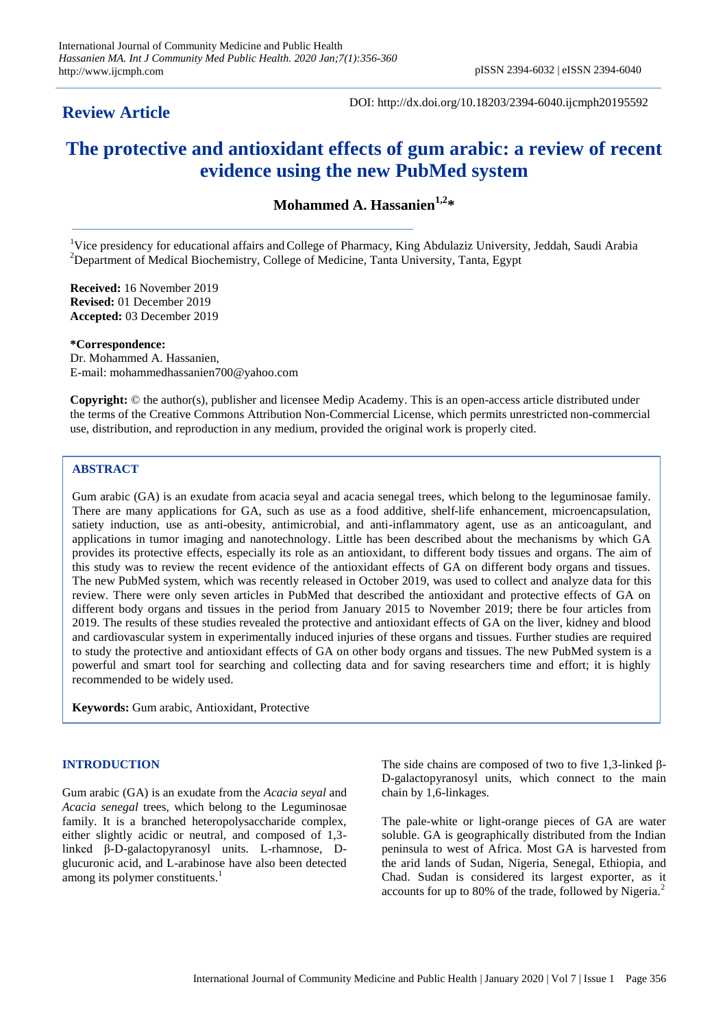# **Review Article**

DOI: http://dx.doi.org/10.18203/2394-6040.ijcmph20195592

# **The protective and antioxidant effects of gum arabic: a review of recent evidence using the new PubMed system**

**Mohammed A. Hassanien1,2\***

<sup>1</sup>Vice presidency for educational affairs and College of Pharmacy, King Abdulaziz University, Jeddah, Saudi Arabia  ${}^{2}$ Department of Medical Biochemistry, College of Medicine, Tanta University, Tanta, Egypt

**Received:** 16 November 2019 **Revised:** 01 December 2019 **Accepted:** 03 December 2019

**\*Correspondence:**

Dr. Mohammed A. Hassanien, E-mail: mohammedhassanien700@yahoo.com

**Copyright:** © the author(s), publisher and licensee Medip Academy. This is an open-access article distributed under the terms of the Creative Commons Attribution Non-Commercial License, which permits unrestricted non-commercial use, distribution, and reproduction in any medium, provided the original work is properly cited.

# **ABSTRACT**

Gum arabic (GA) is an exudate from acacia seyal and acacia senegal trees, which belong to the leguminosae family. There are many applications for GA, such as use as a food additive, shelf-life enhancement, microencapsulation, satiety induction, use as anti-obesity, antimicrobial, and anti-inflammatory agent, use as an anticoagulant, and applications in tumor imaging and nanotechnology. Little has been described about the mechanisms by which GA provides its protective effects, especially its role as an antioxidant, to different body tissues and organs. The aim of this study was to review the recent evidence of the antioxidant effects of GA on different body organs and tissues. The new PubMed system, which was recently released in October 2019, was used to collect and analyze data for this review. There were only seven articles in PubMed that described the antioxidant and protective effects of GA on different body organs and tissues in the period from January 2015 to November 2019; there be four articles from 2019. The results of these studies revealed the protective and antioxidant effects of GA on the liver, kidney and blood and cardiovascular system in experimentally induced injuries of these organs and tissues. Further studies are required to study the protective and antioxidant effects of GA on other body organs and tissues. The new PubMed system is a powerful and smart tool for searching and collecting data and for saving researchers time and effort; it is highly recommended to be widely used.

**Keywords:** Gum arabic, Antioxidant, Protective

# **INTRODUCTION**

Gum arabic (GA) is an exudate from the *Acacia seyal* and *Acacia senegal* trees, which belong to the Leguminosae family. It is a branched heteropolysaccharide complex, either slightly acidic or neutral, and composed of 1,3 linked β-D-galactopyranosyl units. L-rhamnose, Dglucuronic acid, and L-arabinose have also been detected among its polymer constituents.<sup>1</sup>

The side chains are composed of two to five 1,3-linked β-D-galactopyranosyl units, which connect to the main chain by 1,6-linkages.

The pale-white or light-orange pieces of GA are water soluble. GA is geographically distributed from the Indian peninsula to west of Africa. Most GA is harvested from the arid lands of Sudan, Nigeria, Senegal, Ethiopia, and Chad. Sudan is considered its largest exporter, as it accounts for up to 80% of the trade, followed by Nigeria.<sup>2</sup>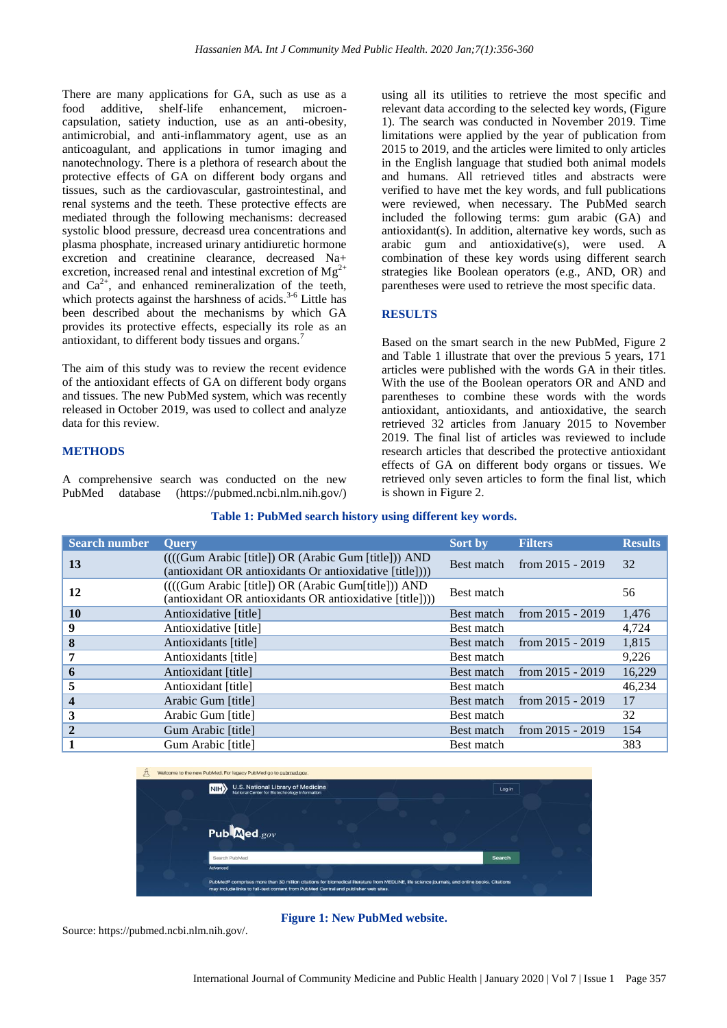There are many applications for GA, such as use as a food additive, shelf-life enhancement, microencapsulation, satiety induction, use as an anti-obesity, antimicrobial, and anti-inflammatory agent, use as an anticoagulant, and applications in tumor imaging and nanotechnology. There is a plethora of research about the protective effects of GA on different body organs and tissues, such as the cardiovascular, gastrointestinal, and renal systems and the teeth. These protective effects are mediated through the following mechanisms: decreased systolic blood pressure, decreasd urea concentrations and plasma phosphate, increased urinary antidiuretic hormone excretion and creatinine clearance, decreased Na+ excretion, increased renal and intestinal excretion of  $Mg^{2+}$ and  $Ca^{2+}$ , and enhanced remineralization of the teeth, which protects against the harshness of acids.<sup>3-6</sup> Little has been described about the mechanisms by which GA provides its protective effects, especially its role as an antioxidant, to different body tissues and organs.<sup>7</sup>

The aim of this study was to review the recent evidence of the antioxidant effects of GA on different body organs and tissues. The new PubMed system, which was recently released in October 2019, was used to collect and analyze data for this review.

#### **METHODS**

A comprehensive search was conducted on the new PubMed database (https://pubmed.ncbi.nlm.nih.gov/)

using all its utilities to retrieve the most specific and relevant data according to the selected key words, (Figure 1). The search was conducted in November 2019. Time limitations were applied by the year of publication from 2015 to 2019, and the articles were limited to only articles in the English language that studied both animal models and humans. All retrieved titles and abstracts were verified to have met the key words, and full publications were reviewed, when necessary. The PubMed search included the following terms: gum arabic (GA) and antioxidant(s). In addition, alternative key words, such as arabic gum and antioxidative(s), were used. A combination of these key words using different search strategies like Boolean operators (e.g., AND, OR) and parentheses were used to retrieve the most specific data.

#### **RESULTS**

Based on the smart search in the new PubMed, Figure 2 and Table 1 illustrate that over the previous 5 years, 171 articles were published with the words GA in their titles. With the use of the Boolean operators OR and AND and parentheses to combine these words with the words antioxidant, antioxidants, and antioxidative, the search retrieved 32 articles from January 2015 to November 2019. The final list of articles was reviewed to include research articles that described the protective antioxidant effects of GA on different body organs or tissues. We retrieved only seven articles to form the final list, which is shown in Figure 2.

#### **Table 1: PubMed search history using different key words.**

| <b>Search number</b>    | <b>Query</b>                                                                                                     | <b>Sort by</b> | <b>Filters</b>     | <b>Results</b> |
|-------------------------|------------------------------------------------------------------------------------------------------------------|----------------|--------------------|----------------|
| 13                      | ((((Gum Arabic [title]) OR (Arabic Gum [title])) AND<br>(antioxidant OR antioxidants Or antioxidative [title]))) | Best match     | from $2015 - 2019$ | 32             |
| 12                      | ((((Gum Arabic [title]) OR (Arabic Gum[title])) AND<br>(antioxidant OR antioxidants OR antioxidative [title]))   | Best match     |                    | 56             |
| 10                      | Antioxidative [title]                                                                                            | Best match     | from $2015 - 2019$ | 1,476          |
| 9                       | Antioxidative [title]                                                                                            | Best match     |                    | 4,724          |
| 8                       | Antioxidants [title]                                                                                             | Best match     | from $2015 - 2019$ | 1,815          |
| 7                       | Antioxidants [title]                                                                                             | Best match     |                    | 9,226          |
| 6                       | Antioxidant [title]                                                                                              | Best match     | from $2015 - 2019$ | 16,229         |
| 5                       | Antioxidant [title]                                                                                              | Best match     |                    | 46,234         |
| $\overline{\mathbf{4}}$ | Arabic Gum [title]                                                                                               | Best match     | from 2015 - 2019   | 17             |
| 3                       | Arabic Gum [title]                                                                                               | Best match     |                    | 32             |
| $\overline{2}$          | Gum Arabic [title]                                                                                               | Best match     | from $2015 - 2019$ | 154            |
|                         | Gum Arabic [title]                                                                                               | Best match     |                    | 383            |



# **Figure 1: New PubMed website.**

Source: https://pubmed.ncbi.nlm.nih.gov/.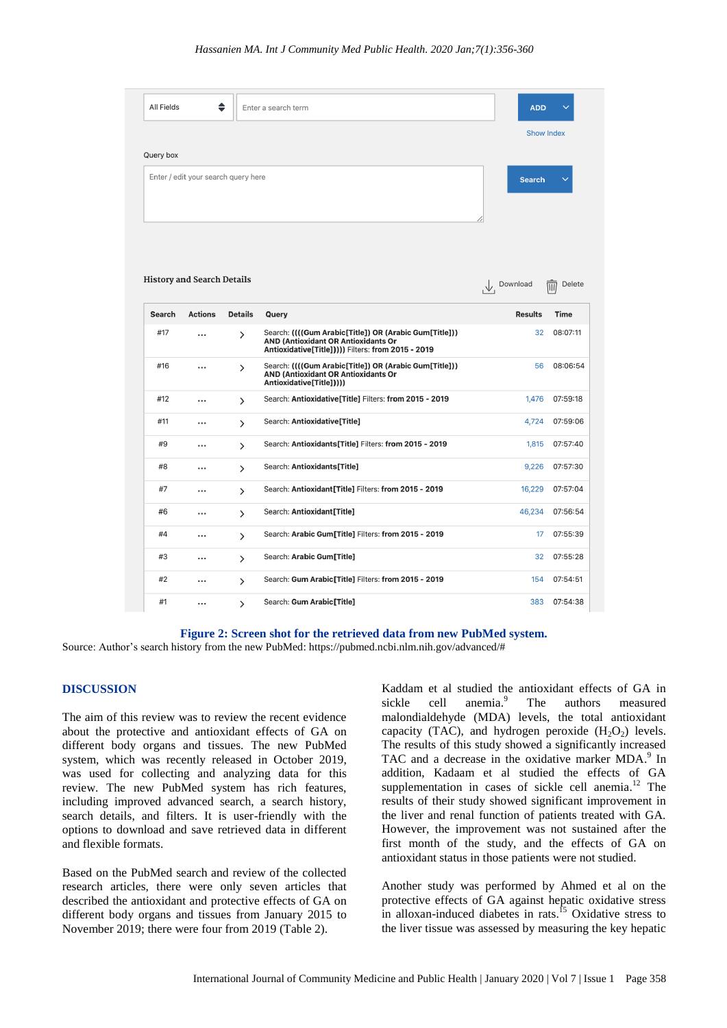| All Fields | ♦                                   |                | Enter a search term                                                                                                                                       | <b>ADD</b>        |                                     |
|------------|-------------------------------------|----------------|-----------------------------------------------------------------------------------------------------------------------------------------------------------|-------------------|-------------------------------------|
|            |                                     |                |                                                                                                                                                           | <b>Show Index</b> |                                     |
| Query box  |                                     |                |                                                                                                                                                           |                   |                                     |
|            | Enter / edit your search query here |                |                                                                                                                                                           | <b>Search</b>     |                                     |
|            | <b>History and Search Details</b>   |                |                                                                                                                                                           | Download          | Delete<br>$\overline{\mathsf{III}}$ |
| Search     | Actions                             | <b>Details</b> | Query                                                                                                                                                     | <b>Results</b>    | Time                                |
| #17        |                                     | $\mathcal{P}$  | Search: (((Gum Arabic[Title]) OR (Arabic Gum[Title]))<br><b>AND (Antioxidant OR Antioxidants Or</b><br>Antioxidative[Title])))) Filters: from 2015 - 2019 | 32                | 08:07:11                            |
| #16        |                                     | $\mathcal{P}$  | Search: ((((Gum Arabic[Title]) OR (Arabic Gum[Title]))<br><b>AND (Antioxidant OR Antioxidants Or</b><br>Antioxidative[Title]))))                          | 56                | 08:06:54                            |
| #12        | $\ddotsc$                           | $\mathcal{P}$  | Search: Antioxidative[Title] Filters: from 2015 - 2019                                                                                                    | 1,476             | 07:59:18                            |
| #11        |                                     | $\mathcal{P}$  | Search: Antioxidative[Title]                                                                                                                              | 4,724             | 07:59:06                            |
| #9         |                                     | $\mathcal{P}$  | Search: Antioxidants[Title] Filters: from 2015 - 2019                                                                                                     | 1,815             | 07:57:40                            |
| #8         |                                     | $\rightarrow$  | Search: Antioxidants[Title]                                                                                                                               | 9,226             | 07:57:30                            |
| #7         |                                     | $\mathcal{P}$  | Search: Antioxidant[Title] Filters: from 2015 - 2019                                                                                                      | 16,229            | 07:57:04                            |
| #6         |                                     | $\mathcal{P}$  | Search: Antioxidant[Title]                                                                                                                                | 46,234            | 07:56:54                            |
| #4         |                                     | $\mathcal{P}$  | Search: Arabic Gum[Title] Filters: from 2015 - 2019                                                                                                       | 17                | 07:55:39                            |
| #3         |                                     | $\rightarrow$  | Search: Arabic Gum[Title]                                                                                                                                 | 32                | 07:55:28                            |
| #2         |                                     | $\rightarrow$  | Search: Gum Arabic[Title] Filters: from 2015 - 2019                                                                                                       | 154               | 07:54:51                            |
| #1         |                                     | ゝ              | Search: Gum Arabic[Title]                                                                                                                                 | 383               | 07:54:38                            |

#### **Figure 2: Screen shot for the retrieved data from new PubMed system.**

Source: Author's search history from the new PubMed: https://pubmed.ncbi.nlm.nih.gov/advanced/#

#### **DISCUSSION**

The aim of this review was to review the recent evidence about the protective and antioxidant effects of GA on different body organs and tissues. The new PubMed system, which was recently released in October 2019, was used for collecting and analyzing data for this review. The new PubMed system has rich features, including improved advanced search, a search history, search details, and filters. It is user-friendly with the options to download and save retrieved data in different and flexible formats.

Based on the PubMed search and review of the collected research articles, there were only seven articles that described the antioxidant and protective effects of GA on different body organs and tissues from January 2015 to November 2019; there were four from 2019 (Table 2).

Kaddam et al studied the antioxidant effects of GA in sickle cell anemia.<sup>9</sup> The authors measured malondialdehyde (MDA) levels, the total antioxidant capacity (TAC), and hydrogen peroxide  $(H_2O_2)$  levels. The results of this study showed a significantly increased TAC and a decrease in the oxidative marker MDA.<sup>9</sup> In addition, Kadaam et al studied the effects of GA supplementation in cases of sickle cell anemia. $12$  The results of their study showed significant improvement in the liver and renal function of patients treated with GA. However, the improvement was not sustained after the first month of the study, and the effects of GA on antioxidant status in those patients were not studied.

Another study was performed by Ahmed et al on the protective effects of GA against hepatic oxidative stress in alloxan-induced diabetes in rats.<sup>15</sup> Oxidative stress to the liver tissue was assessed by measuring the key hepatic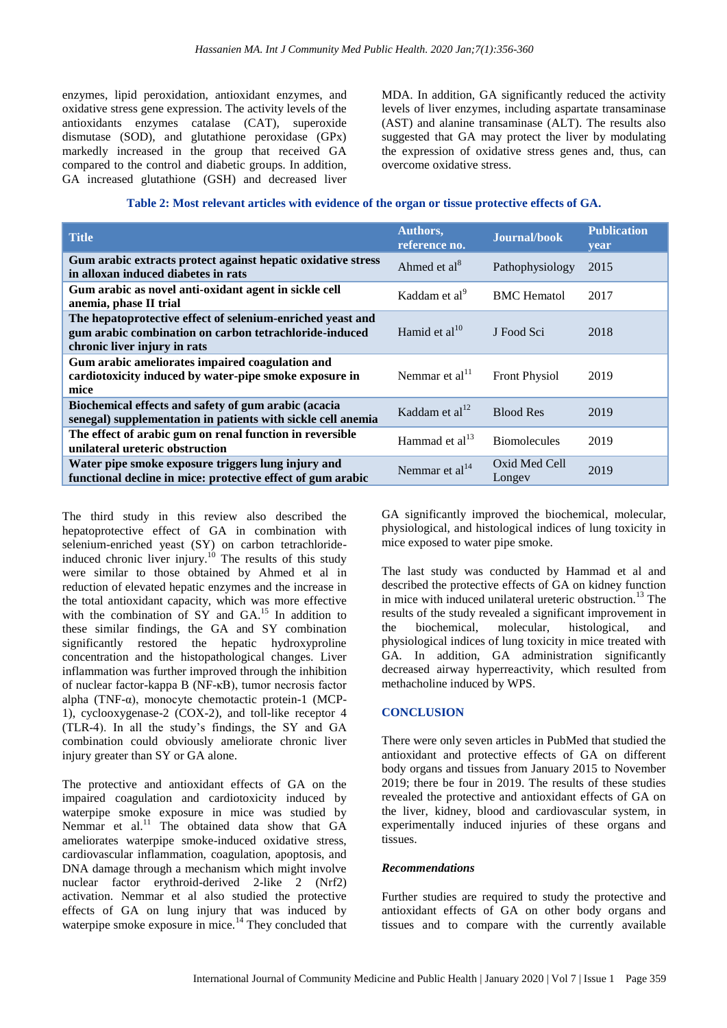enzymes, lipid peroxidation, antioxidant enzymes, and oxidative stress gene expression. The activity levels of the antioxidants enzymes catalase (CAT), superoxide dismutase (SOD), and glutathione peroxidase (GPx) markedly increased in the group that received GA compared to the control and diabetic groups. In addition, GA increased glutathione (GSH) and decreased liver

MDA. In addition, GA significantly reduced the activity levels of liver enzymes, including aspartate transaminase (AST) and alanine transaminase (ALT). The results also suggested that GA may protect the liver by modulating the expression of oxidative stress genes and, thus, can overcome oxidative stress.

| Table 2: Most relevant articles with evidence of the organ or tissue protective effects of GA. |  |  |
|------------------------------------------------------------------------------------------------|--|--|
|------------------------------------------------------------------------------------------------|--|--|

| <b>Title</b>                                                                                                                                         | Authors,<br>reference no.  | Journal/book            | <b>Publication</b><br><b>vear</b> |
|------------------------------------------------------------------------------------------------------------------------------------------------------|----------------------------|-------------------------|-----------------------------------|
| Gum arabic extracts protect against hepatic oxidative stress<br>in alloxan induced diabetes in rats                                                  | Ahmed et al <sup>8</sup>   | Pathophysiology         | 2015                              |
| Gum arabic as novel anti-oxidant agent in sickle cell<br>anemia, phase II trial                                                                      | Kaddam et al <sup>9</sup>  | <b>BMC</b> Hematol      | 2017                              |
| The hepatoprotective effect of selenium-enriched yeast and<br>gum arabic combination on carbon tetrachloride-induced<br>chronic liver injury in rats | Hamid et al $^{10}$        | J Food Sci              | 2018                              |
| Gum arabic ameliorates impaired coagulation and<br>cardiotoxicity induced by water-pipe smoke exposure in<br>mice                                    | Nemmar et al <sup>11</sup> | <b>Front Physiol</b>    | 2019                              |
| Biochemical effects and safety of gum arabic (acacia<br>senegal) supplementation in patients with sickle cell anemia                                 | Kaddam et al $^{12}$       | <b>Blood Res</b>        | 2019                              |
| The effect of arabic gum on renal function in reversible<br>unilateral ureteric obstruction                                                          | Hammad et al $^{13}$       | <b>Biomolecules</b>     | 2019                              |
| Water pipe smoke exposure triggers lung injury and<br>functional decline in mice: protective effect of gum arabic                                    | Nemmar et $al14$           | Oxid Med Cell<br>Longey | 2019                              |

The third study in this review also described the hepatoprotective effect of GA in combination with selenium-enriched yeast (SY) on carbon tetrachlorideinduced chronic liver injury.<sup>10</sup> The results of this study were similar to those obtained by Ahmed et al in reduction of elevated hepatic enzymes and the increase in the total antioxidant capacity, which was more effective with the combination of  $SY$  and  $GA$ <sup>15</sup> In addition to these similar findings, the GA and SY combination significantly restored the hepatic hydroxyproline concentration and the histopathological changes. Liver inflammation was further improved through the inhibition of nuclear factor-kappa B (NF-κB), tumor necrosis factor alpha (TNF-α), monocyte chemotactic protein-1 (MCP-1), cyclooxygenase-2 (COX-2), and toll-like receptor 4 (TLR-4). In all the study's findings, the SY and GA combination could obviously ameliorate chronic liver injury greater than SY or GA alone.

The protective and antioxidant effects of GA on the impaired coagulation and cardiotoxicity induced by waterpipe smoke exposure in mice was studied by Nemmar et al.<sup>11</sup> The obtained data show that GA ameliorates waterpipe smoke-induced oxidative stress, cardiovascular inflammation, coagulation, apoptosis, and DNA damage through a mechanism which might involve nuclear factor erythroid-derived 2-like 2 (Nrf2) activation. Nemmar et al also studied the protective effects of GA on lung injury that was induced by waterpipe smoke exposure in mice.<sup>14</sup> They concluded that GA significantly improved the biochemical, molecular, physiological, and histological indices of lung toxicity in mice exposed to water pipe smoke.

The last study was conducted by Hammad et al and described the protective effects of GA on kidney function in mice with induced unilateral ureteric obstruction.<sup>13</sup> The results of the study revealed a significant improvement in the biochemical, molecular, histological, and physiological indices of lung toxicity in mice treated with GA. In addition, GA administration significantly decreased airway hyperreactivity, which resulted from methacholine induced by WPS.

# **CONCLUSION**

There were only seven articles in PubMed that studied the antioxidant and protective effects of GA on different body organs and tissues from January 2015 to November 2019; there be four in 2019. The results of these studies revealed the protective and antioxidant effects of GA on the liver, kidney, blood and cardiovascular system, in experimentally induced injuries of these organs and tissues.

# *Recommendations*

Further studies are required to study the protective and antioxidant effects of GA on other body organs and tissues and to compare with the currently available